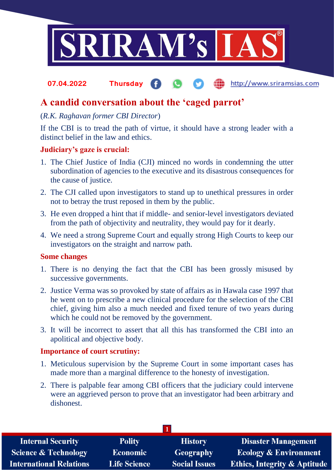

#### http://www.sriramsias.com **07.04.2022 Thursday**

# **A candid conversation about the 'caged parrot'**

# (*R.K. Raghavan former CBI Director*)

If the CBI is to tread the path of virtue, it should have a strong leader with a distinct belief in the law and ethics.

## **Judiciary's gaze is crucial:**

- 1. The Chief Justice of India (CJI) minced no words in condemning the utter subordination of agencies to the executive and its disastrous consequences for the cause of justice.
- 2. The CJI called upon investigators to stand up to unethical pressures in order not to betray the trust reposed in them by the public.
- 3. He even dropped a hint that if middle- and senior-level investigators deviated from the path of objectivity and neutrality, they would pay for it dearly.
- 4. We need a strong Supreme Court and equally strong High Courts to keep our investigators on the straight and narrow path.

#### **Some changes**

- 1. There is no denying the fact that the CBI has been grossly misused by successive governments.
- 2. Justice Verma was so provoked by state of affairs as in Hawala case 1997 that he went on to prescribe a new clinical procedure for the selection of the CBI chief, giving him also a much needed and fixed tenure of two years during which he could not be removed by the government.
- 3. It will be incorrect to assert that all this has transformed the CBI into an apolitical and objective body.

## **Importance of court scrutiny:**

- 1. Meticulous supervision by the Supreme Court in some important cases has made more than a marginal difference to the honesty of investigation.
- 2. There is palpable fear among CBI officers that the judiciary could intervene were an aggrieved person to prove that an investigator had been arbitrary and dishonest.

| <b>Internal Security</b>        | <b>Polity</b>       | <b>History</b>       | Disaster Management                     |
|---------------------------------|---------------------|----------------------|-----------------------------------------|
| <b>Science &amp; Technology</b> | <b>Economic</b>     | <b>Geography</b>     | <b>Ecology &amp; Environment</b>        |
| <b>International Relations</b>  | <b>Life Science</b> | <b>Social Issues</b> | <b>Ethics, Integrity &amp; Aptitude</b> |